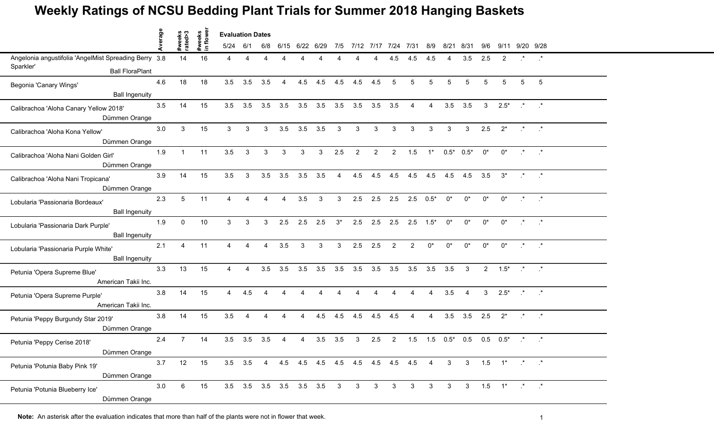## **Weekly Ratings of NCSU Bedding Plant Trials for Summer 2018 Hanging Baskets**

|                                                                    | verage |                   |                     | <b>Evaluation Dates</b> |                |              |                           |                |              |                |                |                           |                |                        |                |                |                         |                |                                                    |                                             |                          |  |
|--------------------------------------------------------------------|--------|-------------------|---------------------|-------------------------|----------------|--------------|---------------------------|----------------|--------------|----------------|----------------|---------------------------|----------------|------------------------|----------------|----------------|-------------------------|----------------|----------------------------------------------------|---------------------------------------------|--------------------------|--|
|                                                                    |        | #weeks<br>rated>3 | #weeks<br>in flower | 5/24                    | 6/1            | 6/8          |                           | 6/15 6/22 6/29 |              | 7/5            | 7/12 7/17 7/24 |                           |                | 7/31                   | 8/9            | 8/21           | 8/31                    | 9/6            | 9/11                                               | 9/20 9/28                                   |                          |  |
| Angelonia angustifolia 'AngelMist Spreading Berry 3.8<br>Sparkler' |        | 14                | 16                  |                         |                |              |                           |                |              |                |                |                           | 4.5            | 4.5                    | 4.5            |                | 3.5                     | 2.5            | 2                                                  |                                             | $\mathbb{R}^*$           |  |
| <b>Ball FloraPlant</b>                                             |        |                   |                     |                         |                |              |                           |                |              |                |                |                           |                |                        |                |                |                         |                |                                                    |                                             |                          |  |
| Begonia 'Canary Wings'<br><b>Ball Ingenuity</b>                    | 4.6    | 18                | 18                  | 3.5                     | 3.5            | 3.5          | Δ                         | 4.5            | 4.5          | 4.5            | 4.5            | 4.5                       | 5              | 5                      | 5              | 5              | $\overline{5}$          | $\overline{5}$ | 5                                                  | $\overline{5}$                              | -5                       |  |
| Calibrachoa 'Aloha Canary Yellow 2018'<br>Dümmen Orange            | 3.5    | 14                | 15                  | 3.5                     | 3.5            | 3.5          | 3.5                       | 3.5            | 3.5          | 3.5            | 3.5            | 3.5                       | 3.5            | $\overline{4}$         | $\overline{4}$ |                | $3.5$ $3.5$             | $\mathbf{3}$   |                                                    | $2.5^*$ * *                                 |                          |  |
| Calibrachoa 'Aloha Kona Yellow'<br>Dümmen Orange                   | 3.0    | $\mathbf{3}$      | 15                  | $\mathcal{S}$           | 3              | $\mathbf{3}$ | 3.5                       | 3.5            | 3.5          | 3              | 3              | 3                         | 3              | 3                      | 3              | 3              | 3 <sup>1</sup>          | 2.5            | $2^*$                                              |                                             | $\qquad \qquad \star$    |  |
| Calibrachoa 'Aloha Nani Golden Girl'<br>Dümmen Orange              | 1.9    | $\overline{1}$    | 11                  | 3.5                     | 3              | 3            | 3                         | 3              | 3            | 2.5            | 2              | $\overline{2}$            | $\overline{2}$ | 1.5                    | $1^*$          | $0.5^*$ 0.5*   |                         | $0^*$          | $0^*$                                              |                                             | $\star$ $\qquad$ $\star$ |  |
| Calibrachoa 'Aloha Nani Tropicana'<br>Dümmen Orange                | 3.9    | 14                | 15                  | 3.5                     | 3              | 3.5          | 3.5                       | 3.5            | 3.5          | $\overline{4}$ | 4.5            | 4.5                       | 4.5            | 4.5                    | 4.5            | 4.5            | 4.5                     | 3.5            | $3^*$                                              |                                             | $\star$ $\qquad$ $\star$ |  |
| Lobularia 'Passionaria Bordeaux'<br><b>Ball Ingenuity</b>          | 2.3    | $5\phantom{.0}$   | 11                  | 4                       |                | 4            | 4                         | 3.5            | $\mathbf{3}$ | 3              | 2.5            | 2.5                       | 2.5            | 2.5                    | $0.5*$         | $0^*$          | $0^*$                   | $0^*$          | $0^*$                                              | $\qquad \qquad \star$                       |                          |  |
| Lobularia 'Passionaria Dark Purple'<br><b>Ball Ingenuity</b>       | 1.9    | $\Omega$          | 10                  | 3                       | 3              | 3            | 2.5                       | 2.5            | 2.5          | $3^*$          | 2.5            | 2.5                       | 2.5            | 2.5                    | $1.5*$         | $0^*$          | $0^*$                   | $0^*$          | $0^*$                                              |                                             | $\qquad \qquad \star$    |  |
| Lobularia 'Passionaria Purple White'<br><b>Ball Ingenuity</b>      | 2.1    | $\overline{4}$    | 11                  |                         |                | 4            | 3.5                       | 3              | 3            | 3              | 2.5            | 2.5                       | $\mathcal{P}$  | $\mathcal{P}$          | n*             | n*             | $0^*$                   | $0^*$          | $0^*$                                              |                                             | $\star$ $\qquad$ $\star$ |  |
| Petunia 'Opera Supreme Blue'<br>American Takii Inc.                | 3.3    | 13                | 15                  | 4                       | Δ              | 3.5          | 3.5                       | 3.5            | 3.5          | 3.5            | 3.5            | 3.5                       | 3.5            | 3.5                    | 3.5            | 3.5            | $\overline{\mathbf{3}}$ | 2              | $1.5*$                                             | $\cdot$ $\cdot$                             |                          |  |
| Petunia 'Opera Supreme Purple'<br>American Takii Inc.              | 3.8    | 14                | 15                  | 4                       | 4.5            | 4            | Δ                         | $\mathbf 4$    |              |                |                | $\boldsymbol{\varLambda}$ |                | $\boldsymbol{\Lambda}$ | $\overline{4}$ | 3.5            | $\overline{4}$          | 3 <sup>7</sup> |                                                    | $2.5^*$ * *                                 |                          |  |
| Petunia 'Peppy Burgundy Star 2019'<br>Dümmen Orange                | 3.8    | 14                | 15                  | 3.5                     |                |              | Δ                         | $\overline{A}$ | 4.5          | 4.5            | 4.5            | 4.5                       | 4.5            | 4                      | $\overline{4}$ | 3.5            | 3.5                     | 2.5            | $2^*$                                              | $\qquad \qquad \star$ $\qquad \qquad \star$ |                          |  |
| Petunia 'Peppy Cerise 2018'<br>Dümmen Orange                       | 2.4    | $\overline{7}$    | 14                  | 3.5                     | 3.5            | 3.5          | 4                         | 4              | 3.5          | 3.5            | 3              | 2.5                       | $\overline{2}$ | 1.5                    |                | $1.5 \t 0.5^*$ | 0.5                     |                | $0.5$ $0.5^*$                                      | $\ddot{\phantom{a}}$                        | $\mathbf{r}$             |  |
| Petunia 'Potunia Baby Pink 19'<br>Dümmen Orange                    | 3.7    |                   | 12 15               |                         | $3.5\quad 3.5$ |              |                           |                |              |                |                |                           |                |                        |                |                |                         |                | 4 4.5 4.5 4.5 4.5 4.5 4.5 4.5 4.5 4 3 3 1.5 1* * * |                                             |                          |  |
| Petunia 'Potunia Blueberry Ice'<br>Dümmen Orange                   | 3.0    | $6\phantom{.}6$   | 15                  |                         |                |              | 3.5 3.5 3.5 3.5 3.5 3.5 3 |                |              |                | $\mathbf{3}$   | $\mathbf{3}$              | $\mathbf{3}$   | 3 <sup>1</sup>         |                | $3 \qquad 3$   |                         |                | 3 1.5 1* $\cdot$ * *                               |                                             |                          |  |

**Note:** An asterisk after the evaluation indicates that more than half of the plants were not in flower that week.